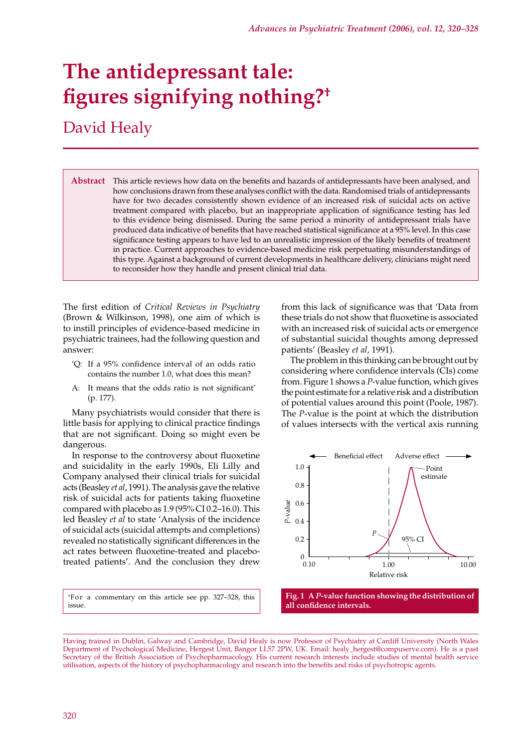## **The antidepressant tale: figures signifying nothing?†**

David Healy

**Abstract** This article reviews how data on the benefits and hazards of antidepressants have been analysed, and how conclusions drawn from these analyses conflict with the data. Randomised trials of antidepressants have for two decades consistently shown evidence of an increased risk of suicidal acts on active treatment compared with placebo, but an inappropriate application of significance testing has led to this evidence being dismissed. During the same period a minority of antidepressant trials have produced data indicative of benefits that have reached statistical significance at a 95% level. In this case significance testing appears to have led to an unrealistic impression of the likely benefits of treatment in practice. Current approaches to evidence-based medicine risk perpetuating misunderstandings of this type. Against a background of current developments in healthcare delivery, clinicians might need to reconsider how they handle and present clinical trial data.

The first edition of *Critical Reviews in Psychiatry* (Brown & Wilkinson, 1998), one aim of which is to instill principles of evidence-based medicine in psychiatric trainees, had the following question and answer:

- 'Q: If a 95% confidence interval of an odds ratio contains the number 1.0, what does this mean?
- A: It means that the odds ratio is not significant' (p. 177).

Many psychiatrists would consider that there is little basis for applying to clinical practice findings that are not significant. Doing so might even be dangerous.

In response to the controversy about fluoxetine and suicidality in the early 1990s, Eli Lilly and Company analysed their clinical trials for suicidal acts (Beasley *et al*, 1991). The analysis gave the relative risk of suicidal acts for patients taking fluoxetine compared with placebo as 1.9 (95% CI 0.2–16.0). This led Beasley *et al* to state 'Analysis of the incidence of suicidal acts (suicidal attempts and completions) revealed no statistically significant differences in the act rates between fluoxetine-treated and placebotreated patients'. And the conclusion they drew

†For a commentary on this article see pp. 327–328, this issue.

from this lack of significance was that 'Data from these trials do not show that fluoxetine is associated with an increased risk of suicidal acts or emergence of substantial suicidal thoughts among depressed patients' (Beasley *et al*, 1991).

The problem in this thinking can be brought out by considering where confidence intervals (CIs) come from. Figure 1 shows a *P*-value function, which gives the point estimate for a relative risk and a distribution of potential values around this point (Poole, 1987). The *P*-value is the point at which the distribution of values intersects with the vertical axis running



**Fig. 1 A** *P***-value function showing the distribution of all confidence intervals.**

Having trained in Dublin, Galway and Cambridge, David Healy is now Professor of Psychiatry at Cardiff University (North Wales Department of Psychological Medicine, Hergest Unit, Bangor LL57 2PW, UK. Email: healy\_hergest@compuserve.com). He is a past Secretary of the British Association of Psychopharmacology. His current research interests include studies of mental health service utilisation, aspects of the history of psychopharmacology and research into the benefits and risks of psychotropic agents.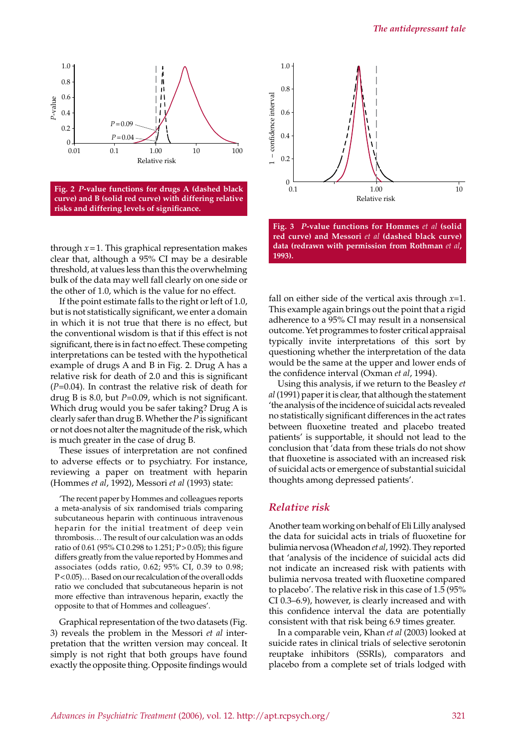

**Fig. 2** *P***-value functions for drugs A (dashed black curve) and B (solid red curve) with differing relative risks and differing levels of significance.**

through  $x = 1$ . This graphical representation makes clear that, although a 95% CI may be a desirable threshold, at values less than this the overwhelming bulk of the data may well fall clearly on one side or the other of 1.0, which is the value for no effect.

If the point estimate falls to the right or left of 1.0, but is not statistically significant, we enter a domain in which it is not true that there is no effect, but the conventional wisdom is that if this effect is not significant, there is in fact no effect. These competing interpretations can be tested with the hypothetical example of drugs A and B in Fig. 2. Drug A has a relative risk for death of 2.0 and this is significant (*P*=0.04). In contrast the relative risk of death for drug B is 8.0, but *P*=0.09, which is not significant. Which drug would you be safer taking? Drug A is clearly safer than drug B. Whether the *P* is significant or not does not alter the magnitude of the risk, which is much greater in the case of drug B.

These issues of interpretation are not confined to adverse effects or to psychiatry. For instance, reviewing a paper on treatment with heparin (Hommes *et al*, 1992), Messori *et al* (1993) state:

'The recent paper by Hommes and colleagues reports a meta-analysis of six randomised trials comparing subcutaneous heparin with continuous intravenous heparin for the initial treatment of deep vein thrombosis… The result of our calculation was an odds ratio of 0.61 (95% CI 0.298 to 1.251; P>0.05); this figure differs greatly from the value reported by Hommes and associates (odds ratio, 0.62; 95% CI, 0.39 to 0.98; P<0.05)… Based on our recalculation of the overall odds ratio we concluded that subcutaneous heparin is not more effective than intravenous heparin, exactly the opposite to that of Hommes and colleagues'.

Graphical representation of the two datasets (Fig. 3) reveals the problem in the Messori *et al* interpretation that the written version may conceal. It simply is not right that both groups have found exactly the opposite thing. Opposite findings would



**Fig. 3** *P***-value functions for Hommes** *et al* **(solid red curve) and Messori** *et al* **(dashed black curve) data (redrawn with permission from Rothman** *et al***, 1993).**

fall on either side of the vertical axis through *x*=1. This example again brings out the point that a rigid adherence to a 95% CI may result in a nonsensical outcome. Yet programmes to foster critical appraisal typically invite interpretations of this sort by questioning whether the interpretation of the data would be the same at the upper and lower ends of the confidence interval (Oxman *et al*, 1994).

Using this analysis, if we return to the Beasley *et al* (1991) paper it is clear, that although the statement 'the analysis of the incidence of suicidal acts revealed no statistically significant differences in the act rates between fluoxetine treated and placebo treated patients' is supportable, it should not lead to the conclusion that 'data from these trials do not show that fluoxetine is associated with an increased risk of suicidal acts or emergence of substantial suicidal thoughts among depressed patients'.

#### *Relative risk*

Another team working on behalf of Eli Lilly analysed the data for suicidal acts in trials of fluoxetine for bulimia nervosa (Wheadon *et al*, 1992). They reported that 'analysis of the incidence of suicidal acts did not indicate an increased risk with patients with bulimia nervosa treated with fluoxetine compared to placebo'. The relative risk in this case of 1.5 (95% CI 0.3–6.9), however, is clearly increased and with this confidence interval the data are potentially consistent with that risk being 6.9 times greater.

In a comparable vein, Khan *et al* (2003) looked at suicide rates in clinical trials of selective serotonin reuptake inhibitors (SSRIs), comparators and placebo from a complete set of trials lodged with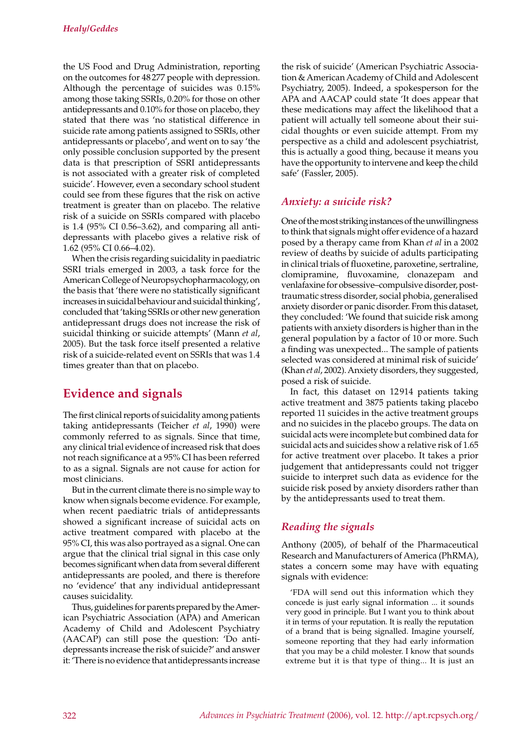the US Food and Drug Administration, reporting on the outcomes for 48277 people with depression. Although the percentage of suicides was 0.15% among those taking SSRIs, 0.20% for those on other antidepressants and 0.10% for those on placebo, they stated that there was 'no statistical difference in suicide rate among patients assigned to SSRIs, other antidepressants or placebo', and went on to say 'the only possible conclusion supported by the present data is that prescription of SSRI antidepressants is not associated with a greater risk of completed suicide'. However, even a secondary school student could see from these figures that the risk on active treatment is greater than on placebo. The relative risk of a suicide on SSRIs compared with placebo is 1.4 (95% CI 0.56–3.62), and comparing all antidepressants with placebo gives a relative risk of 1.62 (95% CI 0.66–4.02).

When the crisis regarding suicidality in paediatric SSRI trials emerged in 2003, a task force for the American College of Neuropsychopharmacology, on the basis that 'there were no statistically significant increases in suicidal behaviour and suicidal thinking', concluded that 'taking SSRIs or other new generation antidepressant drugs does not increase the risk of suicidal thinking or suicide attempts' (Mann *et al*, 2005). But the task force itself presented a relative risk of a suicide-related event on SSRIs that was 1.4 times greater than that on placebo.

## **Evidence and signals**

The first clinical reports of suicidality among patients taking antidepressants (Teicher *et al*, 1990) were commonly referred to as signals. Since that time, any clinical trial evidence of increased risk that does not reach significance at a 95% CI has been referred to as a signal. Signals are not cause for action for most clinicians.

But in the current climate there is no simple way to know when signals become evidence. For example, when recent paediatric trials of antidepressants showed a significant increase of suicidal acts on active treatment compared with placebo at the 95% CI, this was also portrayed as a signal. One can argue that the clinical trial signal in this case only becomes significant when data from several different antidepressants are pooled, and there is therefore no 'evidence' that any individual antidepressant causes suicidality.

Thus, guidelines for parents prepared by the American Psychiatric Association (APA) and American Academy of Child and Adolescent Psychiatry (AACAP) can still pose the question: 'Do antidepressants increase the risk of suicide?' and answer it: 'There is no evidence that antidepressants increase

the risk of suicide' (American Psychiatric Association & American Academy of Child and Adolescent Psychiatry, 2005). Indeed, a spokesperson for the APA and AACAP could state 'It does appear that these medications may affect the likelihood that a patient will actually tell someone about their suicidal thoughts or even suicide attempt. From my perspective as a child and adolescent psychiatrist, this is actually a good thing, because it means you have the opportunity to intervene and keep the child safe' (Fassler, 2005).

### *Anxiety: a suicide risk?*

One of the most striking instances of the unwillingness to think that signals might offer evidence of a hazard posed by a therapy came from Khan *et al* in a 2002 review of deaths by suicide of adults participating in clinical trials of fluoxetine, paroxetine, sertraline, clomipramine, fluvoxamine, clonazepam and venlafaxine for obsessive–compulsive disorder, posttraumatic stress disorder, social phobia, generalised anxiety disorder or panic disorder. From this dataset, they concluded: 'We found that suicide risk among patients with anxiety disorders is higher than in the general population by a factor of 10 or more. Such a finding was unexpected... The sample of patients selected was considered at minimal risk of suicide' (Khan *et al*, 2002). Anxiety disorders, they suggested, posed a risk of suicide.

In fact, this dataset on 12 914 patients taking active treatment and 3875 patients taking placebo reported 11 suicides in the active treatment groups and no suicides in the placebo groups. The data on suicidal acts were incomplete but combined data for suicidal acts and suicides show a relative risk of 1.65 for active treatment over placebo. It takes a prior judgement that antidepressants could not trigger suicide to interpret such data as evidence for the suicide risk posed by anxiety disorders rather than by the antidepressants used to treat them.

## *Reading the signals*

Anthony (2005), of behalf of the Pharmaceutical Research and Manufacturers of America (PhRMA), states a concern some may have with equating signals with evidence:

'FDA will send out this information which they concede is just early signal information ... it sounds very good in principle. But I want you to think about it in terms of your reputation. It is really the reputation of a brand that is being signalled. Imagine yourself, someone reporting that they had early information that you may be a child molester. I know that sounds extreme but it is that type of thing... It is just an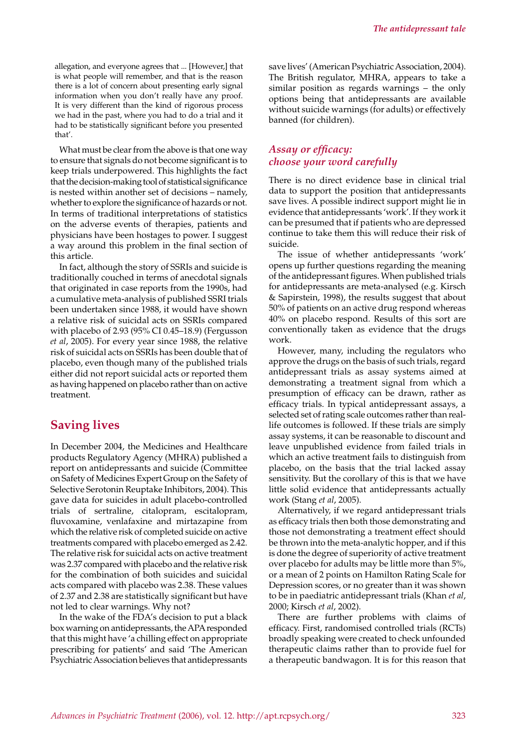allegation, and everyone agrees that ... [However,] that is what people will remember, and that is the reason there is a lot of concern about presenting early signal information when you don't really have any proof. It is very different than the kind of rigorous process we had in the past, where you had to do a trial and it had to be statistically significant before you presented that'.

What must be clear from the above is that one way to ensure that signals do not become significant is to keep trials underpowered. This highlights the fact that the decision-making tool of statistical significance is nested within another set of decisions – namely, whether to explore the significance of hazards or not. In terms of traditional interpretations of statistics on the adverse events of therapies, patients and physicians have been hostages to power. I suggest a way around this problem in the final section of this article.

In fact, although the story of SSRIs and suicide is traditionally couched in terms of anecdotal signals that originated in case reports from the 1990s, had a cumulative meta-analysis of published SSRI trials been undertaken since 1988, it would have shown a relative risk of suicidal acts on SSRIs compared with placebo of 2.93 (95% CI 0.45–18.9) (Fergusson *et al*, 2005). For every year since 1988, the relative risk of suicidal acts on SSRIs has been double that of placebo, even though many of the published trials either did not report suicidal acts or reported them as having happened on placebo rather than on active treatment.

## **Saving lives**

In December 2004, the Medicines and Healthcare products Regulatory Agency (MHRA) published a report on antidepressants and suicide (Committee on Safety of Medicines Expert Group on the Safety of Selective Serotonin Reuptake Inhibitors, 2004). This gave data for suicides in adult placebo-controlled trials of sertraline, citalopram, escitalopram, fluvoxamine, venlafaxine and mirtazapine from which the relative risk of completed suicide on active treatments compared with placebo emerged as 2.42. The relative risk for suicidal acts on active treatment was 2.37 compared with placebo and the relative risk for the combination of both suicides and suicidal acts compared with placebo was 2.38. These values of 2.37 and 2.38 are statistically significant but have not led to clear warnings. Why not?

In the wake of the FDA's decision to put a black box warning on antidepressants, the APA responded that this might have 'a chilling effect on appropriate prescribing for patients' and said 'The American Psychiatric Association believes that antidepressants save lives' (American Psychiatric Association, 2004). The British regulator, MHRA, appears to take a similar position as regards warnings – the only options being that antidepressants are available without suicide warnings (for adults) or effectively banned (for children).

#### *Assay or efficacy: choose your word carefully*

There is no direct evidence base in clinical trial data to support the position that antidepressants save lives. A possible indirect support might lie in evidence that antidepressants 'work'. If they work it can be presumed that if patients who are depressed continue to take them this will reduce their risk of suicide.

The issue of whether antidepressants 'work' opens up further questions regarding the meaning of the antidepressant figures. When published trials for antidepressants are meta-analysed (e.g. Kirsch & Sapirstein, 1998), the results suggest that about 50% of patients on an active drug respond whereas 40% on placebo respond. Results of this sort are conventionally taken as evidence that the drugs work.

However, many, including the regulators who approve the drugs on the basis of such trials, regard antidepressant trials as assay systems aimed at demonstrating a treatment signal from which a presumption of efficacy can be drawn, rather as efficacy trials. In typical antidepressant assays, a selected set of rating scale outcomes rather than reallife outcomes is followed. If these trials are simply assay systems, it can be reasonable to discount and leave unpublished evidence from failed trials in which an active treatment fails to distinguish from placebo, on the basis that the trial lacked assay sensitivity. But the corollary of this is that we have little solid evidence that antidepressants actually work (Stang *et al*, 2005).

Alternatively, if we regard antidepressant trials as efficacy trials then both those demonstrating and those not demonstrating a treatment effect should be thrown into the meta-analytic hopper, and if this is done the degree of superiority of active treatment over placebo for adults may be little more than 5%, or a mean of 2 points on Hamilton Rating Scale for Depression scores, or no greater than it was shown to be in paediatric antidepressant trials (Khan *et al*, 2000; Kirsch *et al*, 2002).

There are further problems with claims of efficacy. First, randomised controlled trials (RCTs) broadly speaking were created to check unfounded therapeutic claims rather than to provide fuel for a therapeutic bandwagon. It is for this reason that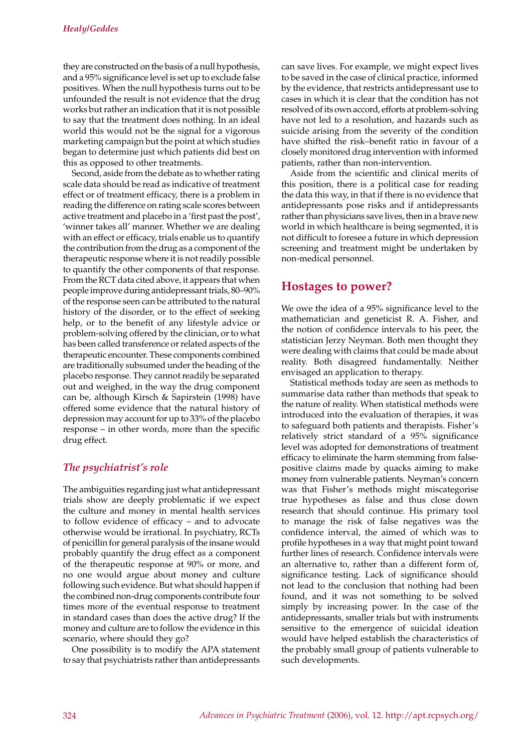they are constructed on the basis of a null hypothesis, and a 95% significance level is set up to exclude false positives. When the null hypothesis turns out to be unfounded the result is not evidence that the drug works but rather an indication that it is not possible to say that the treatment does nothing. In an ideal world this would not be the signal for a vigorous marketing campaign but the point at which studies began to determine just which patients did best on this as opposed to other treatments.

Second, aside from the debate as to whether rating scale data should be read as indicative of treatment effect or of treatment efficacy, there is a problem in reading the difference on rating scale scores between active treatment and placebo in a 'first past the post', 'winner takes all' manner. Whether we are dealing with an effect or efficacy, trials enable us to quantify the contribution from the drug as a component of the therapeutic response where it is not readily possible to quantify the other components of that response. From the RCT data cited above, it appears that when people improve during antidepressant trials, 80–90% of the response seen can be attributed to the natural history of the disorder, or to the effect of seeking help, or to the benefit of any lifestyle advice or problem-solving offered by the clinician, or to what has been called transference or related aspects of the therapeutic encounter. These components combined are traditionally subsumed under the heading of the placebo response. They cannot readily be separated out and weighed, in the way the drug component can be, although Kirsch & Sapirstein (1998) have offered some evidence that the natural history of depression may account for up to 33% of the placebo response – in other words, more than the specific drug effect.

## *The psychiatrist's role*

The ambiguities regarding just what antidepressant trials show are deeply problematic if we expect the culture and money in mental health services to follow evidence of efficacy – and to advocate otherwise would be irrational. In psychiatry, RCTs of penicillin for general paralysis of the insane would probably quantify the drug effect as a component of the therapeutic response at 90% or more, and no one would argue about money and culture following such evidence. But what should happen if the combined non-drug components contribute four times more of the eventual response to treatment in standard cases than does the active drug? If the money and culture are to follow the evidence in this scenario, where should they go?

One possibility is to modify the APA statement to say that psychiatrists rather than antidepressants can save lives. For example, we might expect lives to be saved in the case of clinical practice, informed by the evidence, that restricts antidepressant use to cases in which it is clear that the condition has not resolved of its own accord, efforts at problem-solving have not led to a resolution, and hazards such as suicide arising from the severity of the condition have shifted the risk–benefit ratio in favour of a closely monitored drug intervention with informed patients, rather than non-intervention.

Aside from the scientific and clinical merits of this position, there is a political case for reading the data this way, in that if there is no evidence that antidepressants pose risks and if antidepressants rather than physicians save lives, then in a brave new world in which healthcare is being segmented, it is not difficult to foresee a future in which depression screening and treatment might be undertaken by non-medical personnel.

## **Hostages to power?**

We owe the idea of a 95% significance level to the mathematician and geneticist R. A. Fisher, and the notion of confidence intervals to his peer, the statistician Jerzy Neyman. Both men thought they were dealing with claims that could be made about reality. Both disagreed fundamentally. Neither envisaged an application to therapy.

Statistical methods today are seen as methods to summarise data rather than methods that speak to the nature of reality. When statistical methods were introduced into the evaluation of therapies, it was to safeguard both patients and therapists. Fisher's relatively strict standard of a 95% significance level was adopted for demonstrations of treatment efficacy to eliminate the harm stemming from falsepositive claims made by quacks aiming to make money from vulnerable patients. Neyman's concern was that Fisher's methods might miscategorise true hypotheses as false and thus close down research that should continue. His primary tool to manage the risk of false negatives was the confidence interval, the aimed of which was to profile hypotheses in a way that might point toward further lines of research. Confidence intervals were an alternative to, rather than a different form of, significance testing. Lack of significance should not lead to the conclusion that nothing had been found, and it was not something to be solved simply by increasing power. In the case of the antidepressants, smaller trials but with instruments sensitive to the emergence of suicidal ideation would have helped establish the characteristics of the probably small group of patients vulnerable to such developments.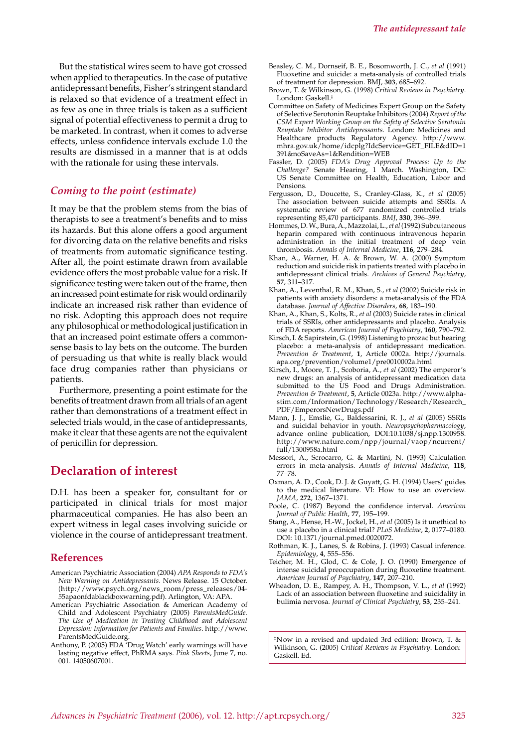But the statistical wires seem to have got crossed when applied to therapeutics. In the case of putative antidepressant benefits, Fisher's stringent standard is relaxed so that evidence of a treatment effect in as few as one in three trials is taken as a sufficient signal of potential effectiveness to permit a drug to be marketed. In contrast, when it comes to adverse effects, unless confidence intervals exclude 1.0 the results are dismissed in a manner that is at odds with the rationale for using these intervals.

#### *Coming to the point (estimate)*

It may be that the problem stems from the bias of therapists to see a treatment's benefits and to miss its hazards. But this alone offers a good argument for divorcing data on the relative benefits and risks of treatments from automatic significance testing. After all, the point estimate drawn from available evidence offers the most probable value for a risk. If significance testing were taken out of the frame, then an increased point estimate for risk would ordinarily indicate an increased risk rather than evidence of no risk. Adopting this approach does not require any philosophical or methodological justification in that an increased point estimate offers a commonsense basis to lay bets on the outcome. The burden of persuading us that white is really black would face drug companies rather than physicians or patients.

Furthermore, presenting a point estimate for the benefits of treatment drawn from all trials of an agent rather than demonstrations of a treatment effect in selected trials would, in the case of antidepressants, make it clear that these agents are not the equivalent of penicillin for depression.

### **Declaration of interest**

D.H. has been a speaker for, consultant for or participated in clinical trials for most major pharmaceutical companies. He has also been an expert witness in legal cases involving suicide or violence in the course of antidepressant treatment.

#### **References**

- American Psychiatric Association (2004) *APA Responds to FDA's New Warning on Antidepressants*. News Release. 15 October. (http://www.psych.org/news\_room/press\_releases/04- 55apaonfdablackboxwarning.pdf). Arlington, VA: APA.
- American Psychiatric Association & American Academy of Child and Adolescent Psychiatry (2005) *ParentsMedGuide. The Use of Medication in Treating Childhood and Adolescent Depression: Information for Patients and Families*. http://www. ParentsMedGuide.org.
- Anthony, P. (2005) FDA 'Drug Watch' early warnings will have lasting negative effect, PhRMA says. *Pink Sheets*, June 7, no. 001. 14050607001.
- Beasley, C. M., Dornseif, B. E., Bosomworth, J. C., *et al* (1991) Fluoxetine and suicide: a meta-analysis of controlled trials of treatment for depression. BMJ, **303**, 685–692.
- Brown, T. & Wilkinson, G. (1998) *Critical Reviews in Psychiatry*. London: Gaskell.‡
- Committee on Safety of Medicines Expert Group on the Safety of Selective Serotonin Reuptake Inhibitors (2004) *Report of the CSM Expert Working Group on the Safety of Selective Serotonin Reuptake Inhibitor Antidepressants*. London: Medicines and Healthcare products Regulatory Agency. http://www. mhra.gov.uk/home/idcplg?IdcService=GET\_FILE&dID=1 391&noSaveAs=1&Rendition=WEB
- Fassler, D. (2005) *FDA's Drug Approval Process: Up to the Challenge?* Senate Hearing, 1 March. Washington, DC: US Senate Committee on Health, Education, Labor and **Pensions**
- Fergusson, D., Doucette, S., Cranley-Glass, K., *et al* (2005) The association between suicide attempts and SSRIs. A systematic review of 677 randomized controlled trials representing 85,470 participants. *BMJ*, **330**, 396–399.
- Hommes, D. W., Bura, A., Mazzolai, L., *et al* (1992) Subcutaneous heparin compared with continuous intravenous heparin administration in the initial treatment of deep vein thrombosis. *Annals of Internal Medicine*, **116**, 279–284.
- Khan, A., Warner, H. A. & Brown, W. A. (2000) Symptom reduction and suicide risk in patients treated with placebo in antidepressant clinical trials. *Archives of General Psychiatry*, **57**, 311–317.
- Khan, A., Leventhal, R. M., Khan, S., *et al* (2002) Suicide risk in patients with anxiety disorders: a meta-analysis of the FDA database. *Journal of Affective Disorders*, **68**, 183–190.
- Khan, A., Khan, S., Kolts, R., *et al* (2003) Suicide rates in clinical trials of SSRIs, other antidepressants and placebo. Analysis of FDA reports. *American Journal of Psychiatry*, **160**, 790–792.
- Kirsch, I. & Sapirstein, G. (1998) Listening to prozac but hearing placebo: a meta-analysis of antidepressant medication. *Prevention & Treatment*, **1**, Article 0002a. http://journals. apa.org/prevention/volume1/pre0010002a.html
- Kirsch, I., Moore, T. J., Scoboria, A., *et al* (2002) The emperor's new drugs: an analysis of antidepressant medication data submitted to the US Food and Drugs Administration. *Prevention & Treatment*, **5**, Article 0023a. http://www.alphastim.com/Information/Technology/Research/Research\_ PDF/EmperorsNewDrugs.pdf
- Mann, J. J., Emslie, G., Baldessarini, R. J., *et al* (2005) SSRIs and suicidal behavior in youth. *Neuropsychopharmacology*, advance online publication, DOI:10.1038/sj.npp.1300958. http://www.nature.com/npp/journal/vaop/ncurrent/ full/1300958a.html
- Messori, A., Scrocarro, G. & Martini, N. (1993) Calculation errors in meta-analysis. *Annals of Internal Medicine*, **118**, 77–78.
- Oxman, A. D., Cook, D. J. & Guyatt, G. H. (1994) Users' guides to the medical literature. VI: How to use an overview. *JAMA*, **272**, 1367–1371.
- Poole, C. (1987) Beyond the confidence interval. *American Journal of Public Health*, **77**, 195–199.
- Stang, A., Hense, H.-W., Jockel, H., *et al* (2005) Is it unethical to use a placebo in a clinical trial? *PLoS Medicine*, **2**, 0177–0180. DOI: 10.1371/journal.pmed.0020072.
- Rothman, K. J., Lanes, S. & Robins, J. (1993) Casual inference. *Epidemiology*, **4**, 555–556.
- Teicher, M. H., Glod, C. & Cole, J. O. (1990) Emergence of intense suicidal preoccupation during fluoxetine treatment. *American Journal of Psychiatry*, **147**, 207–210.
- Wheadon, D. E., Rampey, A. H., Thompson, V. L., *et al* (1992) Lack of an association between fluoxetine and suicidality in bulimia nervosa. *Journal of Clinical Psychiatry*, **53**, 235–241.

‡Now in a revised and updated 3rd edition: Brown, T. & Wilkinson, G. (2005) *Critical Reviews in Psychiatry*. London: Gaskell. Ed.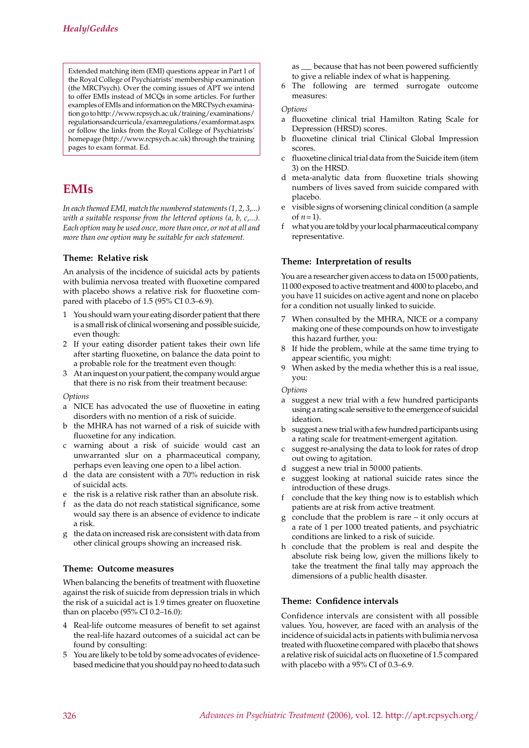Extended matching item (EMI) questions appear in Part 1 of the Royal College of Psychiatrists' membership examination (the MRCPsych). Over the coming issues of APT we intend to offer EMIs instead of MCQs in some articles. For further examples of EMIs and information on the MRCPsych examination go to http://www.rcpsych.ac.uk/training/examinations/ regulationsandcurricula/examregulations/examformat.aspx or follow the links from the Royal College of Psychiatrists' homepage (http://www.rcpsych.ac.uk) through the training pages to exam format. Ed.

## **EMIs**

*In each themed EMI, match the numbered statements (1, 2, 3,...) with a suitable response from the lettered options (a, b, c,...). Each option may be used once, more than once, or not at all and more than one option may be suitable for each statement.* 

#### **Theme: Relative risk**

An analysis of the incidence of suicidal acts by patients with bulimia nervosa treated with fluoxetine compared with placebo shows a relative risk for fluoxetine compared with placebo of 1.5 (95% CI 0.3–6.9).

- You should warn your eating disorder patient that there 1� is a small risk of clinical worsening and possible suicide, even though:
- If your eating disorder patient takes their own life 2� after starting fluoxetine, on balance the data point to a probable role for the treatment even though:
- At an inquest on your patient, the company would argue 3� that there is no risk from their treatment because:

*Options*

- a NICE has advocated the use of fluoxetine in eating disorders with no mention of a risk of suicide.
- b the MHRA has not warned of a risk of suicide with fluoxetine for any indication.
- c warning about a risk of suicide would cast an unwarranted slur on a pharmaceutical company, perhaps even leaving one open to a libel action.
- d the data are consistent with a 70% reduction in risk of suicidal acts.
- e the risk is a relative risk rather than an absolute risk.
- as the data do not reach statistical significance, some would say there is an absence of evidence to indicate a risk. f�
- g the data on increased risk are consistent with data from other clinical groups showing an increased risk.

#### **Theme: Outcome measures**

When balancing the benefits of treatment with fluoxetine against the risk of suicide from depression trials in which the risk of a suicidal act is 1.9 times greater on fluoxetine than on placebo (95% CI 0.2–16.0):

- Real-life outcome measures of benefit to set against 4� the real-life hazard outcomes of a suicidal act can be found by consulting:
- You are likely to be told by some advocates of evidence-5� based medicine that you should pay no heed to data such

as \_\_\_ because that has not been powered sufficiently to give a reliable index of what is happening.

The following are termed surrogate outcome 6� measures:

#### *Options*

- fluoxetine clinical trial Hamilton Rating Scale for Depression (HRSD) scores. a�
- b fluoxetine clinical trial Clinical Global Impression scores.
- fluoxetine clinical trial data from the Suicide item (item 3) on the HRSD.  $\mathfrak{c}$
- meta-analytic data from fluoxetine trials showing d� numbers of lives saved from suicide compared with placebo.
- visible signs of worsening clinical condition (a sample of  $n=1$ ). e<sup> $\overline{e}$ </sup>
- what you are told by your local pharmaceutical company representative. f�

#### **Theme: Interpretation of results**

You are a researcher given access to data on 15000 patients, 11000 exposed to active treatment and 4000 to placebo, and you have 11 suicides on active agent and none on placebo for a condition not usually linked to suicide.

- When consulted by the MHRA, NICE or a company making one of these compounds on how to investigate this hazard further, you: 7�
- If hide the problem, while at the same time trying to appear scientific, you might: 8�
- When asked by the media whether this is a real issue, you: 9�

*Options*

- a suggest a new trial with a few hundred participants using a rating scale sensitive to the emergence of suicidal ideation.
- suggest a new trial with a few hundred participants using a rating scale for treatment-emergent agitation. b�
- suggest re-analysing the data to look for rates of drop out owing to agitation. c�
- suggest a new trial in 50 000 patients. d�
- suggest looking at national suicide rates since the introduction of these drugs. e�
- conclude that the key thing now is to establish which patients are at risk from active treatment. f�
- conclude that the problem is rare it only occurs at a rate of 1 per 1000 treated patients, and psychiatric conditions are linked to a risk of suicide. g�
- h conclude that the problem is real and despite the absolute risk being low, given the millions likely to take the treatment the final tally may approach the dimensions of a public health disaster.

#### **Theme: Confidence intervals**

Confidence intervals are consistent with all possible values. You, however, are faced with an analysis of the incidence of suicidal acts in patients with bulimia nervosa treated with fluoxetine compared with placebo that shows a relative risk of suicidal acts on fluoxetine of 1.5 compared with placebo with a 95% CI of 0.3–6.9.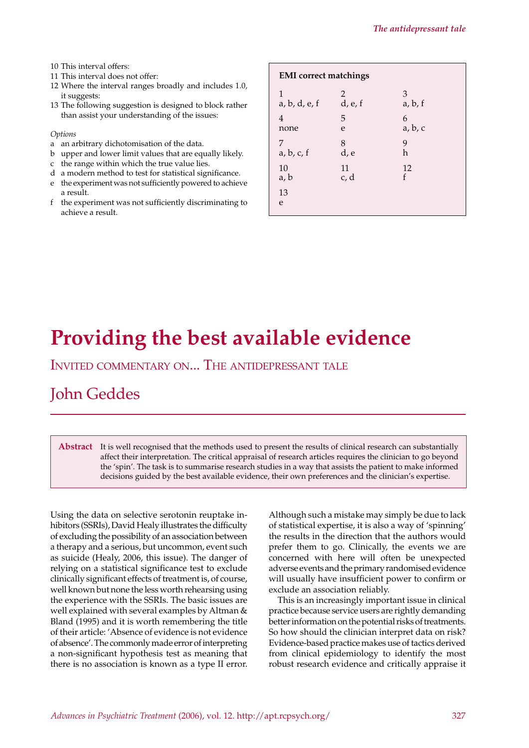- 10 This interval offers:
- 11 This interval does not offer:
- Where the interval ranges broadly and includes 1.0, 12� it suggests:
- 13 The following suggestion is designed to block rather than assist your understanding of the issues:

#### *Options*

- a an arbitrary dichotomisation of the data.
- upper and lower limit values that are equally likely. b�
- the range within which the true value lies. c�
- d a modern method to test for statistical significance.
- the experiment was not sufficiently powered to achieve a result. e.
- f the experiment was not sufficiently discriminating to achieve a result.

| <b>EMI</b> correct matchings |         |         |
|------------------------------|---------|---------|
| 1                            | 2       | 3       |
| a, b, d, e, f                | d, e, f | a, b, f |
| 4                            | 5       | 6       |
| none                         | e       | a, b, c |
| 7                            | 8       | 9       |
| a, b, c, f                   | d, e    | h       |
| 10                           | 11      | 12      |
| a, b                         | c, d    | f       |
| 13<br>e                      |         |         |

# **Providing the best available evidence**

Invited commentary on... The antidepressant tale

## John Geddes

**Abstract** It is well recognised that the methods used to present the results of clinical research can substantially affect their interpretation. The critical appraisal of research articles requires the clinician to go beyond the 'spin'. The task is to summarise research studies in a way that assists the patient to make informed decisions guided by the best available evidence, their own preferences and the clinician's expertise.

Using the data on selective serotonin reuptake inhibitors (SSRIs), David Healy illustrates the difficulty of excluding the possibility of an association between a therapy and a serious, but uncommon, event such as suicide (Healy, 2006, this issue). The danger of relying on a statistical significance test to exclude clinically significant effects of treatment is, of course, well known but none the less worth rehearsing using the experience with the SSRIs. The basic issues are well explained with several examples by Altman & Bland (1995) and it is worth remembering the title of their article: 'Absence of evidence is not evidence of absence'. The commonly made error of interpreting a non-significant hypothesis test as meaning that there is no association is known as a type II error. Although such a mistake may simply be due to lack of statistical expertise, it is also a way of 'spinning' the results in the direction that the authors would prefer them to go. Clinically, the events we are concerned with here will often be unexpected adverse events and the primary randomised evidence will usually have insufficient power to confirm or exclude an association reliably.

This is an increasingly important issue in clinical practice because service users are rightly demanding better information on the potential risks of treatments. So how should the clinician interpret data on risk? Evidence-based practice makes use of tactics derived from clinical epidemiology to identify the most robust research evidence and critically appraise it